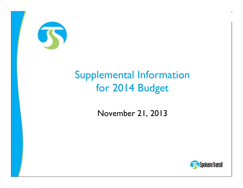

## **Supplemental Information** for 2014 Budget

November 21, 2013



 $\blacksquare$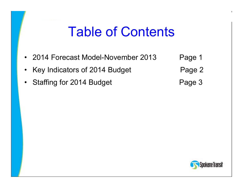## Table of Contents

- 2014 Forecast Model-November 201 3Page 1
- •Key Indicators of 2014 Budget Page 2
- •Staffing for 2014 Budget **Page 3**
- -

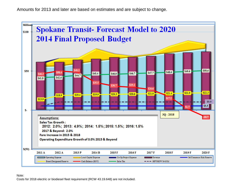Amounts for 2013 and later are based on estimates and are subject to change.

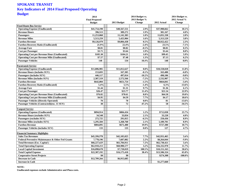## **SPOKANE TRANSIT Key Indicators of 2014 Final Proposed Operating Budget**

|                                                      | 2014                  |              | 2014 Budget vs. | 2014 Budget vs. |               |  |
|------------------------------------------------------|-----------------------|--------------|-----------------|-----------------|---------------|--|
|                                                      | <b>Final Proposed</b> |              | 2013 Budget %   |                 | 2012 Actual % |  |
|                                                      | <b>Budget</b>         | 2013 Budget  | <b>Change</b>   | 2012 Actual     | <b>Change</b> |  |
| <b>Fixed Route Bus Service</b>                       |                       |              |                 |                 |               |  |
| <b>Operating Expense (Unallocated)</b>               | \$41,754,190          | \$40,567,551 | 2.9%            | \$37,908,662    | 10.1%         |  |
| <b>Revenue Hours</b>                                 | 396,513               | 389,272      | 1.9%            | 381,167         | 4.0%          |  |
| <b>Passengers</b>                                    | 11,253,068            | 11, 141, 383 | 1.0%            | 11,031,338      | 2.0%          |  |
| <b>Revenue Miles</b>                                 | 5,513,259             | 5,425,904    | 1.6%            | 5,313,529       | 3.8%          |  |
| <b>Farebox Revenue</b>                               | \$9,126,979           | \$9,084,438  | 0.5%            | \$8,922,422     | 2.3%          |  |
| <b>Farebox Recovery Ratio (Unallocated)</b>          | 21.9%                 | 22.4%        | $-2.4%$         | 23.5%           | $-7.1%$       |  |
| <b>Average Fare</b>                                  | \$0.81                | \$0.82       | $-0.5%$         | \$0.81          | 0.3%          |  |
| <b>Cost per Passenger</b>                            | \$3.71                | \$3.64       | 1.9%            | \$3.44          | $8.0\%$       |  |
| <b>Operating Cost per Revenue Hour (Unallocated)</b> | \$105.30              | \$104.21     | 1.0%            | \$99.45         | 5.9%          |  |
| <b>Operating Cost per Revenue Mile (Unallocated)</b> | \$7.57                | \$7.48       | 1.3%            | \$7.13          | 6.2%          |  |
| <b>Passenger Vehicles</b>                            | 148                   | 134          | 10.4%           | 148             | $0.0\%$       |  |
|                                                      |                       |              |                 |                 |               |  |
| Paratransit Service                                  |                       |              |                 |                 |               |  |
| <b>Operating Expense (Unallocated)</b>               | \$11,806,985          | \$11,812,627 | $0.0\%$         | \$10,558,028    | 11.8%         |  |
| <b>Revenue Hours (includes SUV)</b>                  | 153,693               | 167,305      | $-8.1%$         | 163,480         | $-6.0\%$      |  |
| <b>Passengers (includes SUV)</b>                     | 446.117               | 497.014      | $-10.2%$        | 490.106         | $-9.0\%$      |  |
| <b>Revenue Miles (includes SUV)</b>                  | 2,387,519             | 2,572,566    | $-7.2%$         | 2,532,907       | $-5.7%$       |  |
| <b>Farebox Revenue</b>                               | \$642,004             | \$651,754    | $-1.5%$         | \$664,841       | $-3.4%$       |  |
| <b>Farebox Recovery Ratio (Unallocated)</b>          | 5.4%                  | 5.5%         | $-1.4%$         | 6.3%            | $-13.6%$      |  |
| <b>Average Fare</b>                                  | \$1.44                | \$1.31       | 9.7%            | \$1.36          | 6.1%          |  |
| <b>Cost per Passenger</b>                            | \$26.47               | \$23.77      | 11.4%           | \$21.54         | 22.9%         |  |
| <b>Operating Cost per Revenue Hour (Unallocated)</b> | \$76.82               | \$70.61      | 8.8%            | \$64.58         | 19.0%         |  |
| <b>Operating Cost per Revenue Mile (Unallocated)</b> | \$4.95                | \$4.59       | 7.7%            | \$4.17          | 18.6%         |  |
| <b>Passenger Vehicles (Directly Operated)</b>        | 70                    | 70           | $0.0\%$         | 81              | $-13.6%$      |  |
| Passenger Vehicles (Contracted)(exc. 11 SUV)         | 38                    | 72           | $-47.2%$        | 58              | $-34.5%$      |  |
| <b>Janpool Service</b>                               |                       |              |                 |                 |               |  |
| <b>Operating Expense (Unallocated)</b>               | \$894,914             | \$884,434    | 1.2%            | \$712,038       | 25.7%         |  |
| <b>Revenue Hours (excludes SUV)</b>                  | 34.548                | 33,834       | 2.1%            | 33,220          | 4.0%          |  |
| Passengers (excludes SUV)                            | 272,725               | 291,815      | $-6.5%$         | 250,436         | 8.9%          |  |
| <b>Revenue Miles (excludes SUV)</b>                  | 1,295,584             | 1,268,760    | 2.1%            | 1,189,701       | 8.9%          |  |
| <b>Farebox Revenue</b>                               | \$804,895             | \$671,480    | 19.9%           | \$727,380       | 10.7%         |  |
| <b>Passenger Vehicles (includes SUV)</b>             | 133                   | 133          | $0.0\%$         | 127             | 4.7%          |  |
|                                                      |                       |              |                 |                 |               |  |
| <b>Financial Summary Highlights</b>                  |                       |              |                 |                 |               |  |
| <b>Sales Tax Revenues</b>                            | \$45,350,578          | \$42,105,025 | 7.7%            | \$42,931,465    | 5.6%          |  |
| Federal Preventive Maintenance & Other Fed Grants    | 7,778,196             | 7,607,082    | 2.2%            | \$8,264,044     | $-5.9%$       |  |
| <b>Total Revenues (Exc. Capital)</b>                 | \$66,227,625          | \$61,784,911 | 7.2%            | \$62,730,421    | 5.6%          |  |
| <b>Total Operating Expense</b>                       | \$62,918,213          | \$60,980,577 | 3.2%            | \$56,332,970    | 11.7%         |  |
| <b>Local Capital Investment</b>                      | \$16,098,678          | \$7,720,019  | 108.5%          | \$10,151,163    | 58.6%         |  |
| <b>Total Capital Expense</b>                         | \$22,387,192          | \$16,175,418 | 38.4%           | \$13,506,324    | 65.8%         |  |
| <b>Cooperative Street Projects</b>                   | \$0                   | \$0          |                 | \$274,308       | $-100.0\%$    |  |
| <b>Decrease in Cash</b>                              | \$12,789,266          | \$6,915,685  |                 |                 |               |  |
| <b>Increase in Cash</b>                              |                       |              |                 | \$1,277,660     |               |  |

**NOTE:**

**Unallocated expenses exclude Administrative and Plaza costs.**